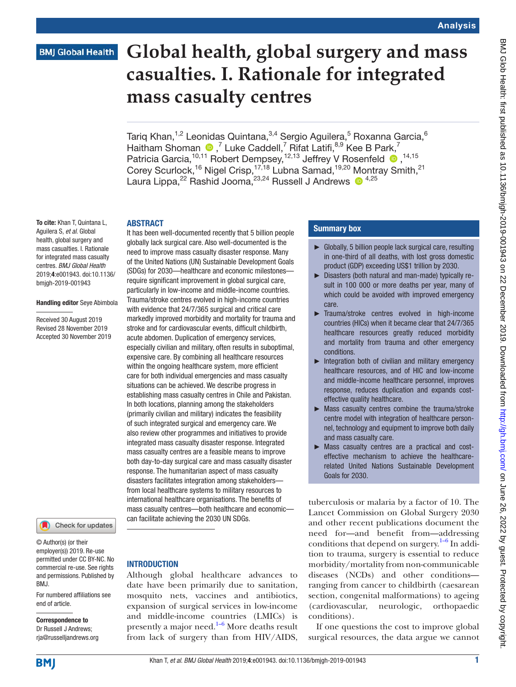#### Analysis

### **BMJ Global Health**

# **Global health, global surgery and mass casualties. I. Rationale for integrated mass casualty centres**

Tariq Khan, $^{1,2}$  Leonidas Quintana, $^{3,4}$  Sergio Aguilera, $^5$  Roxanna Garcia, $^6$ Haitham Shoman <sup>®</sup>,<sup>7</sup> Luke Caddell,<sup>7</sup> Rifat Latifi,<sup>8,9</sup> Kee B Park,<sup>7</sup> PatriciaGarcia,<sup>10,11</sup> Robert Dempsey,<sup>12,13</sup> Jeffrey V Rosenfeld <sup>14,15</sup> Corey Scurlock,<sup>16</sup> Nigel Crisp,<sup>17,18</sup> Lubna Samad,<sup>19,20</sup> Montray Smith,<sup>21</sup> Laura Lippa,<sup>22</sup> Rashid Jooma,<sup>23,24</sup> Russell J Andrews <sup>1,25</sup>

#### **ABSTRACT**

To cite: Khan T, Quintana L, Aguilera S, *et al*. Global health, global surgery and mass casualties. I. Rationale for integrated mass casualty centres. *BMJ Global Health* 2019;4:e001943. doi:10.1136/ bmjgh-2019-001943

#### Handling editor Seye Abimbola

Received 30 August 2019 Revised 28 November 2019 Accepted 30 November 2019



© Author(s) (or their employer(s)) 2019. Re-use permitted under CC BY-NC. No commercial re-use. See rights and permissions. Published by BMJ.

For numbered affiliations see end of article.

#### Correspondence to Dr Russell J Andrews; rja@russelljandrews.org

globally lack surgical care. Also well-documented is the need to improve mass casualty disaster response. Many of the United Nations (UN) Sustainable Development Goals (SDGs) for 2030—healthcare and economic milestones require significant improvement in global surgical care, particularly in low-income and middle-income countries. Trauma/stroke centres evolved in high-income countries with evidence that 24/7/365 surgical and critical care markedly improved morbidity and mortality for trauma and stroke and for cardiovascular events, difficult childbirth, acute abdomen. Duplication of emergency services, especially civilian and military, often results in suboptimal, expensive care. By combining all healthcare resources within the ongoing healthcare system, more efficient care for both individual emergencies and mass casualty situations can be achieved. We describe progress in establishing mass casualty centres in Chile and Pakistan. In both locations, planning among the stakeholders (primarily civilian and military) indicates the feasibility of such integrated surgical and emergency care. We also review other programmes and initiatives to provide integrated mass casualty disaster response. Integrated mass casualty centres are a feasible means to improve both day-to-day surgical care and mass casualty disaster response. The humanitarian aspect of mass casualty disasters facilitates integration among stakeholders from local healthcare systems to military resources to international healthcare organisations. The benefits of mass casualty centres—both healthcare and economic can facilitate achieving the 2030 UN SDGs.

It has been well-documented recently that 5 billion people

#### **INTRODUCTION**

Although global healthcare advances to date have been primarily due to sanitation, mosquito nets, vaccines and antibiotics, expansion of surgical services in low-income and middle-income countries (LMICs) is presently a major need. $1-6$  More deaths result from lack of surgery than from HIV/AIDS,

#### Summary box

- $\blacktriangleright$  Globally, 5 billion people lack surgical care, resulting in one-third of all deaths, with lost gross domestic product (GDP) exceeding US\$1 trillion by 2030.
- ► Disasters (both natural and man-made) typically result in 100 000 or more deaths per year, many of which could be avoided with improved emergency care.
- ► Trauma/stroke centres evolved in high-income countries (HICs) when it became clear that 24/7/365 healthcare resources greatly reduced morbidity and mortality from trauma and other emergency conditions.
- ► Integration both of civilian and military emergency healthcare resources, and of HIC and low-income and middle-income healthcare personnel, improves response, reduces duplication and expands costeffective quality healthcare.
- ► Mass casualty centres combine the trauma/stroke centre model with integration of healthcare personnel, technology and equipment to improve both daily and mass casualty care.
- ► Mass casualty centres are a practical and costeffective mechanism to achieve the healthcarerelated United Nations Sustainable Development Goals for 2030.

tuberculosis or malaria by a factor of 10. The Lancet Commission on Global Surgery 2030 and other recent publications document the need for—and benefit from—addressing conditions that depend on surgery. $1-6$  In addition to trauma, surgery is essential to reduce morbidity/mortality from non-communicable diseases (NCDs) and other conditions ranging from cancer to childbirth (caesarean section, congenital malformations) to ageing (cardiovascular, neurologic, orthopaedic conditions).

If one questions the cost to improve global surgical resources, the data argue we cannot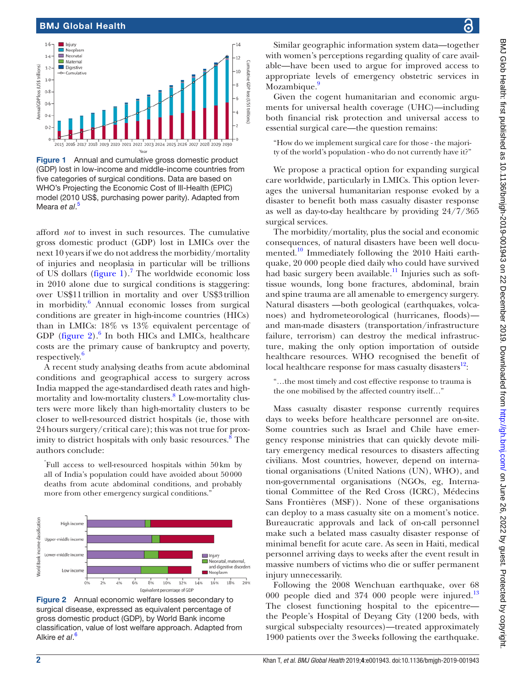#### BMJ Global Health



<span id="page-1-0"></span>Figure 1 Annual and cumulative gross domestic product (GDP) lost in low-income and middle-income countries from five categories of surgical conditions. Data are based on WHO's Projecting the Economic Cost of Ill-Health (EPIC) model (2010 US\$, purchasing power parity). Adapted from Meara et al.<sup>[5](#page-6-1)</sup>

afford *not* to invest in such resources. The cumulative gross domestic product (GDP) lost in LMICs over the next 10 years if we do not address the morbidity/mortality of injuries and neoplasia in particular will be trillions of US dollars [\(figure](#page-1-0)  $1$ ).<sup>7</sup> The worldwide economic loss in 2010 alone due to surgical conditions is staggering: over US\$11trillion in mortality and over US\$3trillion in morbidity. [6](#page-6-2) Annual economic losses from surgical conditions are greater in high-income countries (HICs) than in LMICs: 18% vs 13% equivalent percentage of GDP [\(figure](#page-1-1)  $2$ ).<sup>[6](#page-6-2)</sup> In both HICs and LMICs, healthcare costs are the primary cause of bankruptcy and poverty, respectively. $\frac{6}{5}$ 

A recent study analysing deaths from acute abdominal conditions and geographical access to surgery across India mapped the age-standardised death rates and highmortality and low-mortality clusters.<sup>8</sup> Low-mortality clusters were more likely than high-mortality clusters to be closer to well-resourced district hospitals (ie, those with 24hours surgery/critical care); this was not true for proximity to district hospitals with only basic resources.<sup>8</sup> The authors conclude:

" Full access to well-resourced hospitals within 50km by all of India's population could have avoided about 50000 deaths from acute abdominal conditions, and probably more from other emergency surgical conditions."



<span id="page-1-1"></span>Figure 2 Annual economic welfare losses secondary to surgical disease, expressed as equivalent percentage of gross domestic product (GDP), by World Bank income classification, value of lost welfare approach. Adapted from Alkire *et al*. [6](#page-6-2)

Similar geographic information system data—together with women's perceptions regarding quality of care available—have been used to argue for improved access to appropriate levels of emergency obstetric services in Mozambique.<sup>9</sup>

Given the cogent humanitarian and economic arguments for universal health coverage (UHC)—including both financial risk protection and universal access to essential surgical care—the question remains:

"How do we implement surgical care for those - the majority of the world's population - who do not currently have it?"

We propose a practical option for expanding surgical care worldwide, particularly in LMICs. This option leverages the universal humanitarian response evoked by a disaster to benefit both mass casualty disaster response as well as day-to-day healthcare by providing 24/7/365 surgical services.

The morbidity/mortality, plus the social and economic consequences, of natural disasters have been well documented.<sup>10</sup> Immediately following the 2010 Haiti earthquake, 20 000 people died daily who could have survived had basic surgery been available.<sup>11</sup> Injuries such as softtissue wounds, long bone fractures, abdominal, brain and spine trauma are all amenable to emergency surgery. Natural disasters —both geological (earthquakes, volcanoes) and hydrometeorological (hurricanes, floods) and man-made disasters (transportation/infrastructure failure, terrorism) can destroy the medical infrastructure, making the only option importation of outside healthcare resources. WHO recognised the benefit of local healthcare response for mass casualty disasters $12$ :

"…the most timely and cost effective response to trauma is the one mobilised by the affected country itself…"

Mass casualty disaster response currently requires days to weeks before healthcare personnel are on-site. Some countries such as Israel and Chile have emergency response ministries that can quickly devote military emergency medical resources to disasters affecting civilians. Most countries, however, depend on international organisations (United Nations (UN), WHO), and non-governmental organisations (NGOs, eg, International Committee of the Red Cross (ICRC), Médecins Sans Frontières (MSF)). None of these organisations can deploy to a mass casualty site on a moment's notice. Bureaucratic approvals and lack of on-call personnel make such a belated mass casualty disaster response of minimal benefit for acute care. As seen in Haiti, medical personnel arriving days to weeks after the event result in massive numbers of victims who die or suffer permanent injury unnecessarily.

Following the 2008 Wenchuan earthquake, over 68 000 people died and  $374\,000$  people were injured.<sup>[13](#page-6-9)</sup> The closest functioning hospital to the epicentre the People's Hospital of Deyang City (1200 beds, with surgical subspecialty resources)—treated approximately 1900 patients over the 3weeks following the earthquake.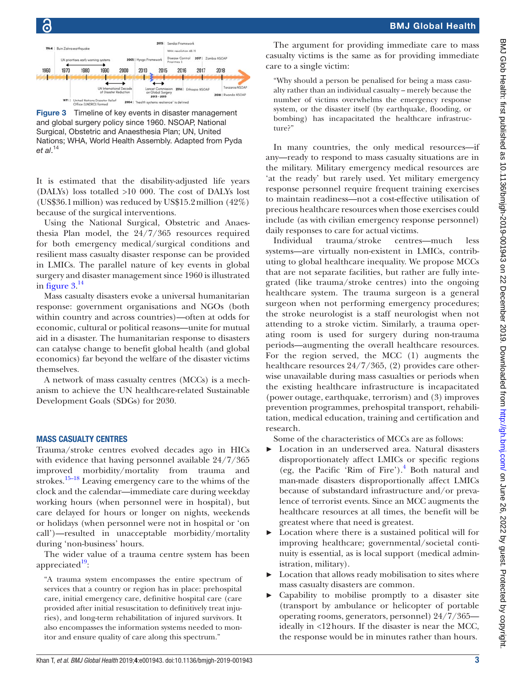

 $\epsilon$ 

<span id="page-2-0"></span>Figure 3 Timeline of key events in disaster management and global surgery policy since 1960. NSOAP, National Surgical, Obstetric and Anaesthesia Plan; UN, United Nations; WHA, World Health Assembly. Adapted from Pyda *et al*. 14

It is estimated that the disability-adjusted life years (DALYs) loss totalled >10 000. The cost of DALYs lost (US\$36.1million) was reduced by US\$15.2million (42%) because of the surgical interventions.

Using the National Surgical, Obstetric and Anaesthesia Plan model, the 24/7/365 resources required for both emergency medical/surgical conditions and resilient mass casualty disaster response can be provided in LMICs. The parallel nature of key events in global surgery and disaster management since 1960 is illustrated in [figure](#page-2-0)  $3.^{14}$  $3.^{14}$  $3.^{14}$ 

Mass casualty disasters evoke a universal humanitarian response: government organisations and NGOs (both within country and across countries)—often at odds for economic, cultural or political reasons—unite for mutual aid in a disaster. The humanitarian response to disasters can catalyse change to benefit global health (and global economics) far beyond the welfare of the disaster victims themselves.

A network of mass casualty centres (MCCs) is a mechanism to achieve the UN healthcare-related Sustainable Development Goals (SDGs) for 2030.

#### Mass casualty centres

Trauma/stroke centres evolved decades ago in HICs with evidence that having personnel available 24/7/365 improved morbidity/mortality from trauma and strokes.<sup>15–18</sup> Leaving emergency care to the whims of the clock and the calendar—immediate care during weekday working hours (when personnel were in hospital), but care delayed for hours or longer on nights, weekends or holidays (when personnel were not in hospital or 'on call')—resulted in unacceptable morbidity/mortality during 'non-business' hours.

The wider value of a trauma centre system has been appreciated $19$ :

"A trauma system encompasses the entire spectrum of services that a country or region has in place: prehospital care, initial emergency care, definitive hospital care (care provided after initial resuscitation to definitively treat injuries), and long-term rehabilitation of injured survivors. It also encompasses the information systems needed to monitor and ensure quality of care along this spectrum."

The argument for providing immediate care to mass casualty victims is the same as for providing immediate care to a single victim:

"Why should a person be penalised for being a mass casualty rather than an individual casualty – merely because the number of victims overwhelms the emergency response system, or the disaster itself (by earthquake, flooding, or bombing) has incapacitated the healthcare infrastructure?"

In many countries, the only medical resources—if any—ready to respond to mass casualty situations are in the military. Military emergency medical resources are 'at the ready' but rarely used. Yet military emergency response personnel require frequent training exercises to maintain readiness—not a cost-effective utilisation of precious healthcare resources when those exercises could include (as with civilian emergency response personnel) daily responses to care for actual victims.

Individual trauma/stroke centres—much less systems—are virtually non-existent in LMICs, contributing to global healthcare inequality. We propose MCCs that are not separate facilities, but rather are fully integrated (like trauma/stroke centres) into the ongoing healthcare system. The trauma surgeon is a general surgeon when not performing emergency procedures; the stroke neurologist is a staff neurologist when not attending to a stroke victim. Similarly, a trauma operating room is used for surgery during non-trauma periods—augmenting the overall healthcare resources. For the region served, the MCC (1) augments the healthcare resources 24/7/365, (2) provides care otherwise unavailable during mass casualties or periods when the existing healthcare infrastructure is incapacitated (power outage, earthquake, terrorism) and (3) improves prevention programmes, prehospital transport, rehabilitation, medical education, training and certification and research.

Some of the characteristics of MCCs are as follows:

- ► Location in an underserved area. Natural disasters disproportionately affect LMICs or specific regions (eg, the Pacific 'Rim of Fire').[4](#page-6-13) Both natural and man-made disasters disproportionally affect LMICs because of substandard infrastructure and/or prevalence of terrorist events. Since an MCC augments the healthcare resources at all times, the benefit will be greatest where that need is greatest.
- ► Location where there is a sustained political will for improving healthcare; governmental/societal continuity is essential, as is local support (medical administration, military).
- Location that allows ready mobilisation to sites where mass casualty disasters are common.
- ► Capability to mobilise promptly to a disaster site (transport by ambulance or helicopter of portable operating rooms, generators, personnel) 24/7/365 ideally in <12hours. If the disaster is near the MCC, the response would be in minutes rather than hours.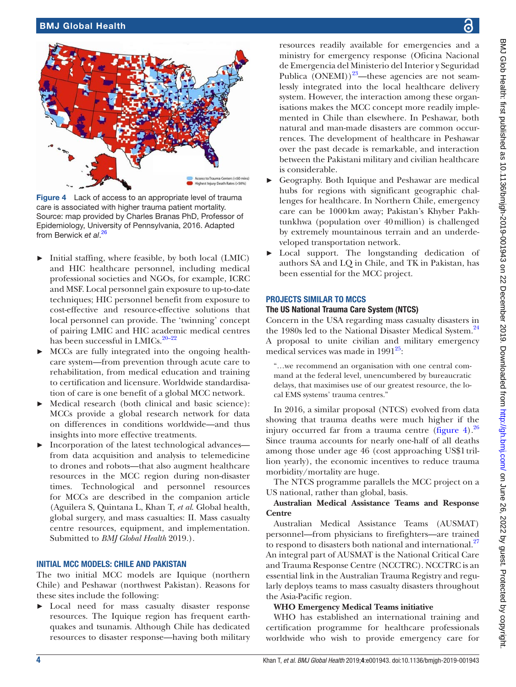

Figure 4 Lack of access to an appropriate level of trauma care is associated with higher trauma patient mortality. Source: map provided by Charles Branas PhD, Professor of Epidemiology, University of Pennsylvania, 2016. Adapted from Berwick *et al*. [26](#page-6-14)

- <span id="page-3-0"></span>Initial staffing, where feasible, by both local (LMIC) and HIC healthcare personnel, including medical professional societies and NGOs, for example, ICRC and MSF. Local personnel gain exposure to up-to-date techniques; HIC personnel benefit from exposure to cost-effective and resource-effective solutions that local personnel can provide. The 'twinning' concept of pairing LMIC and HIC academic medical centres has been successful in LMICs.<sup>20–22</sup>
- ► MCCs are fully integrated into the ongoing healthcare system—from prevention through acute care to rehabilitation, from medical education and training to certification and licensure. Worldwide standardisation of care is one benefit of a global MCC network.
- ► Medical research (both clinical and basic science): MCCs provide a global research network for data on differences in conditions worldwide—and thus insights into more effective treatments.
- ► Incorporation of the latest technological advances from data acquisition and analysis to telemedicine to drones and robots—that also augment healthcare resources in the MCC region during non-disaster times. Technological and personnel resources for MCCs are described in the companion article (Aguilera S, Quintana L, Khan T, *et al*. Global health, global surgery, and mass casualties: II. Mass casualty centre resources, equipment, and implementation. Submitted to *BMJ Global Health* 2019.).

#### Initial MCC models: Chile and Pakistan

The two initial MCC models are Iquique (northern Chile) and Peshawar (northwest Pakistan). Reasons for these sites include the following:

► Local need for mass casualty disaster response resources. The Iquique region has frequent earthquakes and tsunamis. Although Chile has dedicated resources to disaster response—having both military

resources readily available for emergencies and a ministry for emergency response (Oficina Nacional de Emergencia del Ministerio del Interior y Seguridad Publica  $(ONEMI))^2$ <sup>3</sup>—these agencies are not seamlessly integrated into the local healthcare delivery system. However, the interaction among these organisations makes the MCC concept more readily implemented in Chile than elsewhere. In Peshawar, both natural and man-made disasters are common occurrences. The development of healthcare in Peshawar over the past decade is remarkable, and interaction between the Pakistani military and civilian healthcare is considerable.

- Geography. Both Iquique and Peshawar are medical hubs for regions with significant geographic challenges for healthcare. In Northern Chile, emergency care can be 1000km away; Pakistan's Khyber Pakhtunkhwa (population over 40million) is challenged by extremely mountainous terrain and an underdeveloped transportation network.
- Local support. The longstanding dedication of authors SA and LQ in Chile, and TK in Pakistan, has been essential for the MCC project.

#### Projects similar to MCCs

#### The US National Trauma Care System (NTCS)

Concern in the USA regarding mass casualty disasters in the 1980s led to the National Disaster Medical System.<sup>[24](#page-6-17)</sup> A proposal to unite civilian and military emergency medical services was made in  $1991^{25}$ :

"…we recommend an organisation with one central command at the federal level, unencumbered by bureaucratic delays, that maximises use of our greatest resource, the local EMS systems' trauma centres."

In 2016, a similar proposal (NTCS) evolved from data showing that trauma deaths were much higher if the injury occurred far from a trauma centre [\(figure](#page-3-0) 4). $^{26}$  $^{26}$  $^{26}$ Since trauma accounts for nearly one-half of all deaths among those under age 46 (cost approaching US\$1trillion yearly), the economic incentives to reduce trauma morbidity/mortality are huge.

The NTCS programme parallels the MCC project on a US national, rather than global, basis.

#### **Australian Medical Assistance Teams and Response Centre**

Australian Medical Assistance Teams (AUSMAT) personnel—from physicians to firefighters—are trained to respond to disasters both national and international.<sup>[27](#page-6-19)</sup> An integral part of AUSMAT is the National Critical Care and Trauma Response Centre (NCCTRC). NCCTRC is an essential link in the Australian Trauma Registry and regularly deploys teams to mass casualty disasters throughout the Asia-Pacific region.

#### **WHO Emergency Medical Teams initiative**

WHO has established an international training and certification programme for healthcare professionals worldwide who wish to provide emergency care for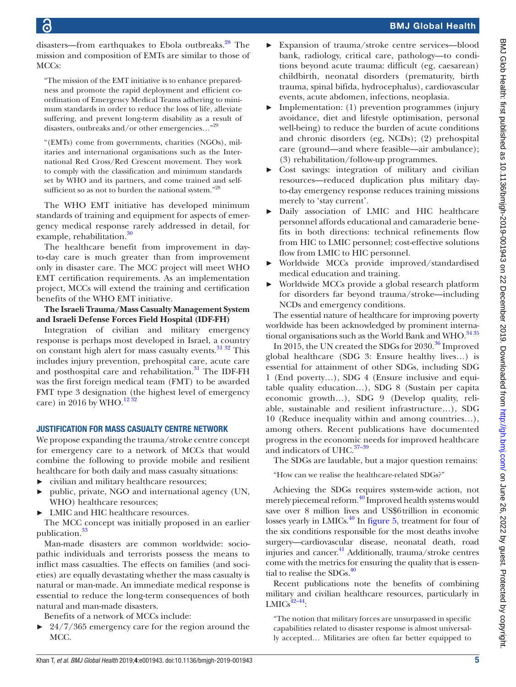disasters—from earthquakes to Ebola outbreaks.<sup>[28](#page-6-20)</sup> The mission and composition of EMTs are similar to those of MCCs:

"The mission of the EMT initiative is to enhance preparedness and promote the rapid deployment and efficient coordination of Emergency Medical Teams adhering to minimum standards in order to reduce the loss of life, alleviate suffering, and prevent long-term disability as a result of disasters, outbreaks and/or other emergencies…"29

"(EMTs) come from governments, charities (NGOs), militaries and international organisations such as the International Red Cross/Red Crescent movement. They work to comply with the classification and minimum standards set by WHO and its partners, and come trained and selfsufficient so as not to burden the national system."<sup>28</sup>

The WHO EMT initiative has developed minimum standards of training and equipment for aspects of emergency medical response rarely addressed in detail, for example, rehabilitation.<sup>30</sup>

The healthcare benefit from improvement in dayto-day care is much greater than from improvement only in disaster care. The MCC project will meet WHO EMT certification requirements. As an implementation project, MCCs will extend the training and certification benefits of the WHO EMT initiative.

**The Israeli Trauma/Mass Casualty Management System and Israeli Defense Forces Field Hospital (IDF-FH)**

Integration of civilian and military emergency response is perhaps most developed in Israel, a country on constant high alert for mass casualty events.<sup>31</sup> 32 This includes injury prevention, prehospital care, acute care and posthospital care and rehabilitation.<sup>31</sup> The IDF-FH was the first foreign medical team (FMT) to be awarded FMT type 3 designation (the highest level of emergency care) in 2016 by WHO. $^{12\,32}$ 

#### Justification for mass casualty centre network

We propose expanding the trauma/stroke centre concept for emergency care to a network of MCCs that would combine the following to provide mobile and resilient healthcare for both daily and mass casualty situations:

- ► civilian and military healthcare resources;
- public, private, NGO and international agency (UN, WHO) healthcare resources;
- ► LMIC and HIC healthcare resources.

The MCC concept was initially proposed in an earlier publication.<sup>33</sup>

Man-made disasters are common worldwide: sociopathic individuals and terrorists possess the means to inflict mass casualties. The effects on families (and societies) are equally devastating whether the mass casualty is natural or man-made. An immediate medical response is essential to reduce the long-term consequences of both natural and man-made disasters.

Benefits of a network of MCCs include:

 $\blacktriangleright$  24/7/365 emergency care for the region around the MCC.

- ► Expansion of trauma/stroke centre services—blood bank, radiology, critical care, pathology—to conditions beyond acute trauma: difficult (eg, caesarean) childbirth, neonatal disorders (prematurity, birth trauma, spinal bifida, hydrocephalus), cardiovascular events, acute abdomen, infections, neoplasia.
- Implementation: (1) prevention programmes (injury avoidance, diet and lifestyle optimisation, personal well-being) to reduce the burden of acute conditions and chronic disorders (eg, NCDs); (2) prehospital care (ground—and where feasible—air ambulance); (3) rehabilitation/follow-up programmes.
- ► Cost savings: integration of military and civilian resources—reduced duplication plus military dayto-day emergency response reduces training missions merely to 'stay current'.
- Daily association of LMIC and HIC healthcare personnel affords educational and camaraderie benefits in both directions: technical refinements flow from HIC to LMIC personnel; cost-effective solutions flow from LMIC to HIC personnel.
- ► Worldwide MCCs provide improved/standardised medical education and training.
- ► Worldwide MCCs provide a global research platform for disorders far beyond trauma/stroke—including NCDs and emergency conditions.

The essential nature of healthcare for improving poverty worldwide has been acknowledged by prominent international organisations such as the World Bank and WHO.<sup>34 35</sup>

In 2015, the UN created the SDGs for  $2030$ .<sup>36</sup> Improved global healthcare (SDG 3: Ensure healthy lives…) is essential for attainment of other SDGs, including SDG 1 (End poverty…), SDG 4 (Ensure inclusive and equitable quality education…), SDG 8 (Sustain per capita economic growth…), SDG 9 (Develop quality, reliable, sustainable and resilient infrastructure…), SDG 10 (Reduce inequality within and among countries…), among others. Recent publications have documented progress in the economic needs for improved healthcare and indicators of UHC.<sup>37-39</sup>

The SDGs are laudable, but a major question remains:

"How can we realise the healthcare-related SDGs?"

Achieving the SDGs requires system-wide action, not merely piecemeal reform.<sup>40</sup> Improved health systems would save over 8 million lives and US\$6trillion in economic losses yearly in LMICs.<sup>[40](#page-6-27)</sup> In [figure](#page-5-0) 5, treatment for four of the six conditions responsible for the most deaths involve surgery—cardiovascular disease, neonatal death, road injuries and cancer.<sup>41</sup> Additionally, trauma/stroke centres come with the metrics for ensuring the quality that is essential to realise the  $SDGs.<sup>40</sup>$ 

Recent publications note the benefits of combining military and civilian healthcare resources, particularly in  $LMICs<sup>42-44</sup>$ :

"The notion that military forces are unsurpassed in specific capabilities related to disaster response is almost universally accepted… Militaries are often far better equipped to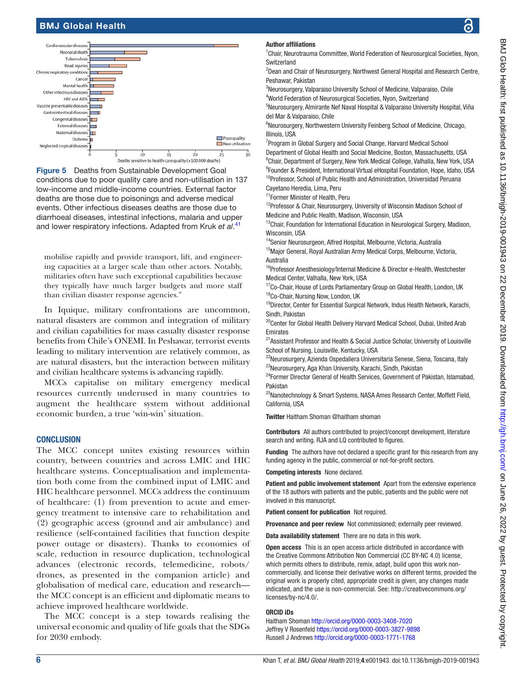## BMJ Global Health



<span id="page-5-0"></span>Figure 5 Deaths from Sustainable Development Goal conditions due to poor quality care and non-utilisation in 137 low-income and middle-income countries. External factor deaths are those due to poisonings and adverse medical events. Other infectious diseases deaths are those due to diarrhoeal diseases, intestinal infections, malaria and upper and lower respiratory infections. Adapted from Kruk *et al*. [41](#page-6-28)

mobilise rapidly and provide transport, lift, and engineering capacities at a larger scale than other actors. Notably, militaries often have such exceptional capabilities because they typically have much larger budgets and more staff than civilian disaster response agencies."

In Iquique, military confrontations are uncommon, natural disasters are common and integration of military and civilian capabilities for mass casualty disaster response benefits from Chile's ONEMI. In Peshawar, terrorist events leading to military intervention are relatively common, as are natural disasters, but the interaction between military and civilian healthcare systems is advancing rapidly.

MCCs capitalise on military emergency medical resources currently underused in many countries to augment the healthcare system without additional economic burden, a true 'win-win' situation.

#### **CONCLUSION**

The MCC concept unites existing resources within country, between countries and across LMIC and HIC healthcare systems. Conceptualisation and implementation both come from the combined input of LMIC and HIC healthcare personnel. MCCs address the continuum of healthcare: (1) from prevention to acute and emergency treatment to intensive care to rehabilitation and (2) geographic access (ground and air ambulance) and resilience (self-contained facilities that function despite power outage or disasters). Thanks to economies of scale, reduction in resource duplication, technological advances (electronic records, telemedicine, robots/ drones, as presented in the companion article) and globalisation of medical care, education and research the MCC concept is an efficient and diplomatic means to achieve improved healthcare worldwide.

The MCC concept is a step towards realising the universal economic and quality of life goals that the SDGs for 2030 embody.

#### Author affiliations

<sup>1</sup> Chair, Neurotrauma Committee, World Federation of Neurosurgical Societies, Nyon, **Switzerland** 

<sup>2</sup>Dean and Chair of Neurosurgery, Northwest General Hospital and Research Centre, Peshawar, Pakistan

<sup>3</sup>Neurosurgery, Valparaiso University School of Medicine, Valparaiso, Chile 4 World Federation of Neurosurgical Societies, Nyon, Switzerland

5 Neurosurgery, Almirante Nef Naval Hospital & Valparaiso University Hospital, Viña del Mar & Valparaiso, Chile

<sup>6</sup>Neurosurgery, Northwestern University Feinberg School of Medicine, Chicago, Illinois, USA

<sup>7</sup> Program in Global Surgery and Social Change, Harvard Medical School Department of Global Health and Social Medicine, Boston, Massachusetts, USA <sup>8</sup>Chair, Department of Surgery, New York Medical College, Valhalla, New York, USA 9 Founder & President, International Virtual eHospital Foundation, Hope, Idaho, USA <sup>10</sup>Professor, School of Public Health and Administration, Universidad Peruana Cayetano Heredia, Lima, Peru

<sup>11</sup>Former Minister of Health, Peru

<sup>12</sup>Professor & Chair, Neurosurgery, University of Wisconsin Madison School of Medicine and Public Health, Madison, Wisconsin, USA

<sup>13</sup>Chair, Foundation for International Education in Neurological Surgery, Madison, Wisconsin, USA

<sup>14</sup>Senior Neurosurgeon, Alfred Hospital, Melbourne, Victoria, Australia

<sup>15</sup>Major General, Royal Australian Army Medical Corps, Melbourne, Victoria, Australia

<sup>16</sup>Professor Anesthesiology/Internal Medicine & Director e-Health, Westchester Medical Center, Valhalla, New York, USA

 $17$ Co-Chair, House of Lords Parliamentary Group on Global Health, London, UK 18Co-Chair, Nursing Now, London, UK

<sup>19</sup>Director, Center for Essential Surgical Network, Indus Health Network, Karachi, Sindh, Pakistan

<sup>20</sup>Center for Global Health Delivery Harvard Medical School, Dubai, United Arab Emirates

<sup>21</sup> Assistant Professor and Health & Social Justice Scholar, University of Louisville School of Nursing, Louisville, Kentucky, USA

<sup>22</sup>Neurosurgery, Azienda Ospedaliera Universitaria Senese, Siena, Toscana, Italy <sup>23</sup>Neurosurgery, Aga Khan University, Karachi, Sindh, Pakistan

<sup>24</sup>Former Director General of Health Services, Government of Pakistan, Islamabad, Pakistan

<sup>25</sup>Nanotechnology & Smart Systems, NASA Ames Research Center, Moffett Field, California, USA

Twitter Haitham Shoman [@haitham shoman](https://twitter.com/haitham shoman)

Contributors All authors contributed to project/concept development, literature search and writing. RJA and LQ contributed to figures.

Funding The authors have not declared a specific grant for this research from any funding agency in the public, commercial or not-for-profit sectors.

Competing interests None declared.

Patient and public involvement statement Apart from the extensive experience of the 18 authors with patients and the public, patients and the public were not involved in this manuscript.

Patient consent for publication Not required.

Provenance and peer review Not commissioned; externally peer reviewed.

Data availability statement There are no data in this work.

**Open access** This is an open access article distributed in accordance with the Creative Commons Attribution Non Commercial (CC BY-NC 4.0) license, which permits others to distribute, remix, adapt, build upon this work noncommercially, and license their derivative works on different terms, provided the original work is properly cited, appropriate credit is given, any changes made indicated, and the use is non-commercial. See: [http://creativecommons.org/](http://creativecommons.org/licenses/by-nc/4.0/) [licenses/by-nc/4.0/.](http://creativecommons.org/licenses/by-nc/4.0/)

#### ORCID iDs

Haitham Shoman <http://orcid.org/0000-0003-3408-7020> Jeffrey V Rosenfeld <https://orcid.org/0000-0003-3827-9898> Russell J Andrews<http://orcid.org/0000-0003-1771-1768>